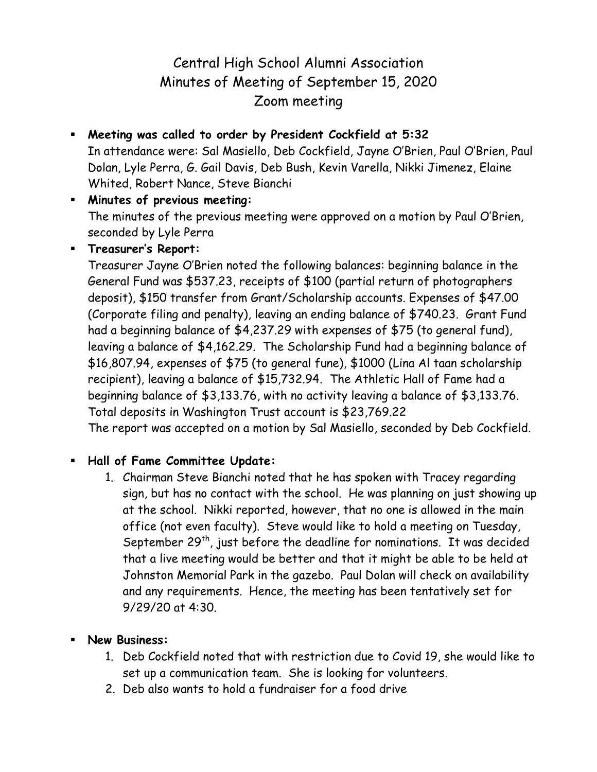## Central High School Alumni Association Minutes of Meeting of September 15, 2020 Zoom meeting

- **Meeting was called to order by President Cockfield at 5:32** In attendance were: Sal Masiello, Deb Cockfield, Jayne O'Brien, Paul O'Brien, Paul Dolan, Lyle Perra, G. Gail Davis, Deb Bush, Kevin Varella, Nikki Jimenez, Elaine Whited, Robert Nance, Steve Bianchi
- **Minutes of previous meeting:** The minutes of the previous meeting were approved on a motion by Paul O'Brien, seconded by Lyle Perra

## **Treasurer's Report:**

Treasurer Jayne O'Brien noted the following balances: beginning balance in the General Fund was \$537.23, receipts of \$100 (partial return of photographers deposit), \$150 transfer from Grant/Scholarship accounts. Expenses of \$47.00 (Corporate filing and penalty), leaving an ending balance of \$740.23. Grant Fund had a beginning balance of \$4,237.29 with expenses of \$75 (to general fund), leaving a balance of \$4,162.29. The Scholarship Fund had a beginning balance of \$16,807.94, expenses of \$75 (to general fune), \$1000 (Lina Al taan scholarship recipient), leaving a balance of \$15,732.94. The Athletic Hall of Fame had a beginning balance of \$3,133.76, with no activity leaving a balance of \$3,133.76. Total deposits in Washington Trust account is \$23,769.22

The report was accepted on a motion by Sal Masiello, seconded by Deb Cockfield.

## **Hall of Fame Committee Update:**

1. Chairman Steve Bianchi noted that he has spoken with Tracey regarding sign, but has no contact with the school. He was planning on just showing up at the school. Nikki reported, however, that no one is allowed in the main office (not even faculty). Steve would like to hold a meeting on Tuesday, September  $29<sup>th</sup>$ , just before the deadline for nominations. It was decided that a live meeting would be better and that it might be able to be held at Johnston Memorial Park in the gazebo. Paul Dolan will check on availability and any requirements. Hence, the meeting has been tentatively set for 9/29/20 at 4:30.

## **New Business:**

- 1. Deb Cockfield noted that with restriction due to Covid 19, she would like to set up a communication team. She is looking for volunteers.
- 2. Deb also wants to hold a fundraiser for a food drive